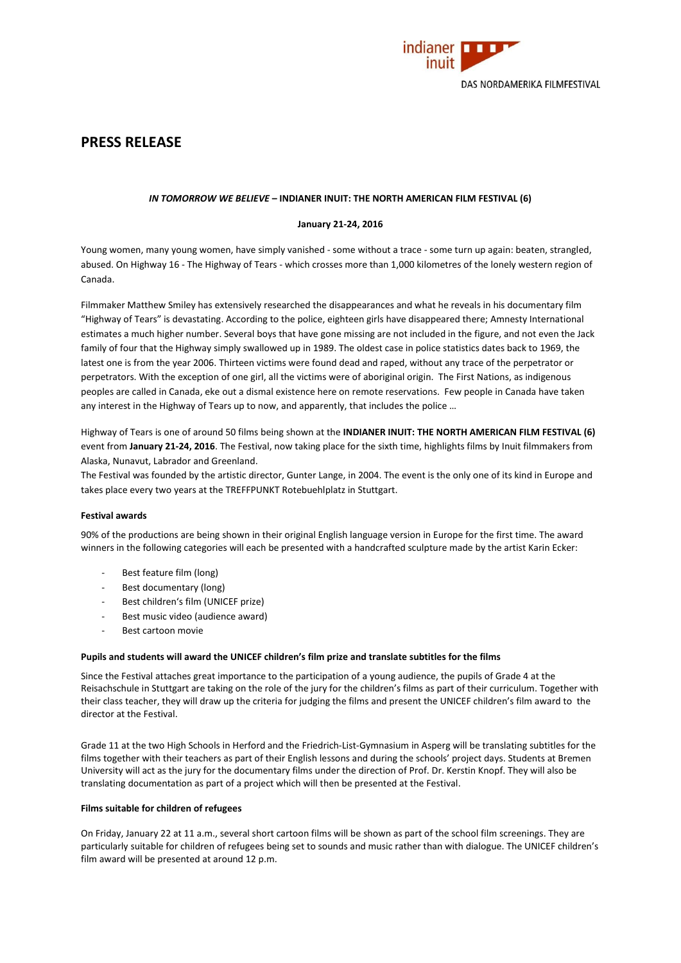

# **PRESS RELEASE**

# *IN TOMORROW WE BELIEVE* **– INDIANER INUIT: THE NORTH AMERICAN FILM FESTIVAL (6)**

# **January 21-24, 2016**

Young women, many young women, have simply vanished - some without a trace - some turn up again: beaten, strangled, abused. On Highway 16 - The Highway of Tears - which crosses more than 1,000 kilometres of the lonely western region of Canada.

Filmmaker Matthew Smiley has extensively researched the disappearances and what he reveals in his documentary film "Highway of Tears" is devastating. According to the police, eighteen girls have disappeared there; Amnesty International estimates a much higher number. Several boys that have gone missing are not included in the figure, and not even the Jack family of four that the Highway simply swallowed up in 1989. The oldest case in police statistics dates back to 1969, the latest one is from the year 2006. Thirteen victims were found dead and raped, without any trace of the perpetrator or perpetrators. With the exception of one girl, all the victims were of aboriginal origin. The First Nations, as indigenous peoples are called in Canada, eke out a dismal existence here on remote reservations. Few people in Canada have taken any interest in the Highway of Tears up to now, and apparently, that includes the police …

Highway of Tears is one of around 50 films being shown at the **INDIANER INUIT: THE NORTH AMERICAN FILM FESTIVAL (6)**  event from **January 21-24, 2016**. The Festival, now taking place for the sixth time, highlights films by Inuit filmmakers from Alaska, Nunavut, Labrador and Greenland.

The Festival was founded by the artistic director, Gunter Lange, in 2004. The event is the only one of its kind in Europe and takes place every two years at the TREFFPUNKT Rotebuehlplatz in Stuttgart.

# **Festival awards**

90% of the productions are being shown in their original English language version in Europe for the first time. The award winners in the following categories will each be presented with a handcrafted sculpture made by the artist Karin Ecker:

- Best feature film (long)
- Best documentary (long)
- Best children's film (UNICEF prize)
- Best music video (audience award)
- Best cartoon movie

# **Pupils and students will award the UNICEF children's film prize and translate subtitles for the films**

Since the Festival attaches great importance to the participation of a young audience, the pupils of Grade 4 at the Reisachschule in Stuttgart are taking on the role of the jury for the children's films as part of their curriculum. Together with their class teacher, they will draw up the criteria for judging the films and present the UNICEF children's film award to the director at the Festival.

Grade 11 at the two High Schools in Herford and the Friedrich-List-Gymnasium in Asperg will be translating subtitles for the films together with their teachers as part of their English lessons and during the schools' project days. Students at Bremen University will act as the jury for the documentary films under the direction of Prof. Dr. Kerstin Knopf. They will also be translating documentation as part of a project which will then be presented at the Festival.

# **Films suitable for children of refugees**

On Friday, January 22 at 11 a.m., several short cartoon films will be shown as part of the school film screenings. They are particularly suitable for children of refugees being set to sounds and music rather than with dialogue. The UNICEF children's film award will be presented at around 12 p.m.